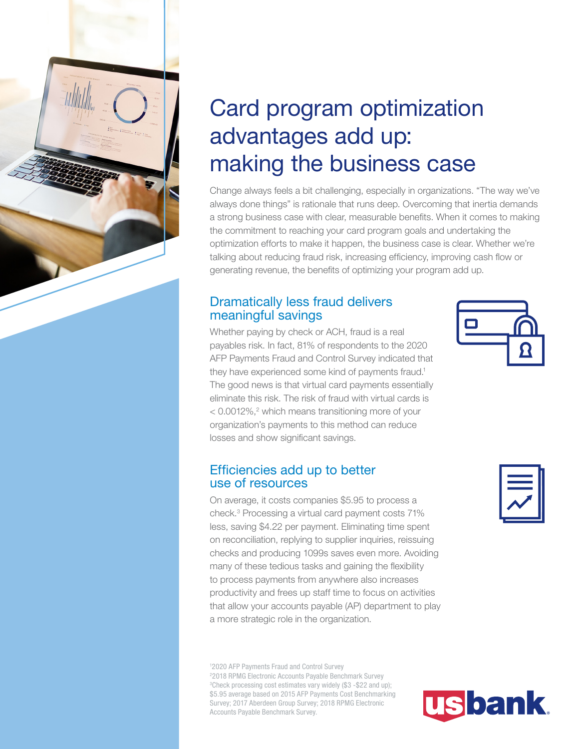

# Card program optimization advantages add up: making the business case

Change always feels a bit challenging, especially in organizations. "The way we've always done things" is rationale that runs deep. Overcoming that inertia demands a strong business case with clear, measurable benefits. When it comes to making the commitment to reaching your card program goals and undertaking the optimization efforts to make it happen, the business case is clear. Whether we're talking about reducing fraud risk, increasing efficiency, improving cash flow or generating revenue, the benefits of optimizing your program add up.

### Dramatically less fraud delivers meaningful savings

Whether paying by check or ACH, fraud is a real payables risk. In fact, 81% of respondents to the 2020 AFP Payments Fraud and Control Survey indicated that they have experienced some kind of payments fraud.<sup>1</sup> The good news is that virtual card payments essentially eliminate this risk. The risk of fraud with virtual cards is < 0.0012%,<sup>2</sup> which means transitioning more of your organization's payments to this method can reduce losses and show significant savings.

### Efficiencies add up to better use of resources

On average, it costs companies \$5.95 to process a check.3 Processing a virtual card payment costs 71% less, saving \$4.22 per payment. Eliminating time spent on reconciliation, replying to supplier inquiries, reissuing checks and producing 1099s saves even more. Avoiding many of these tedious tasks and gaining the flexibility to process payments from anywhere also increases productivity and frees up staff time to focus on activities that allow your accounts payable (AP) department to play a more strategic role in the organization.

1 2020 AFP Payments Fraud and Control Survey 2 2018 RPMG Electronic Accounts Payable Benchmark Survey 3 Check processing cost estimates vary widely (\$3 -\$22 and up); \$5.95 average based on 2015 AFP Payments Cost Benchmarking Survey; 2017 Aberdeen Group Survey; 2018 RPMG Electronic Accounts Payable Benchmark Survey.



|--|